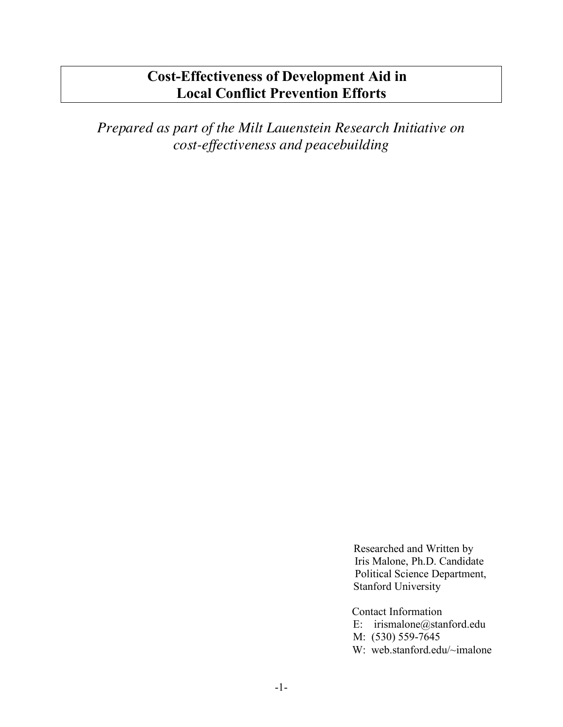# **Cost-Effectiveness of Development Aid in Local Conflict Prevention Efforts**

*Prepared as part of the Milt Lauenstein Research Initiative on cost-effectiveness and peacebuilding*

> Researched and Written by Iris Malone, Ph.D. Candidate Political Science Department, Stanford University

Contact Information E: irismalone@stanford.edu M: (530) 559-7645 W: web.stanford.edu/~imalone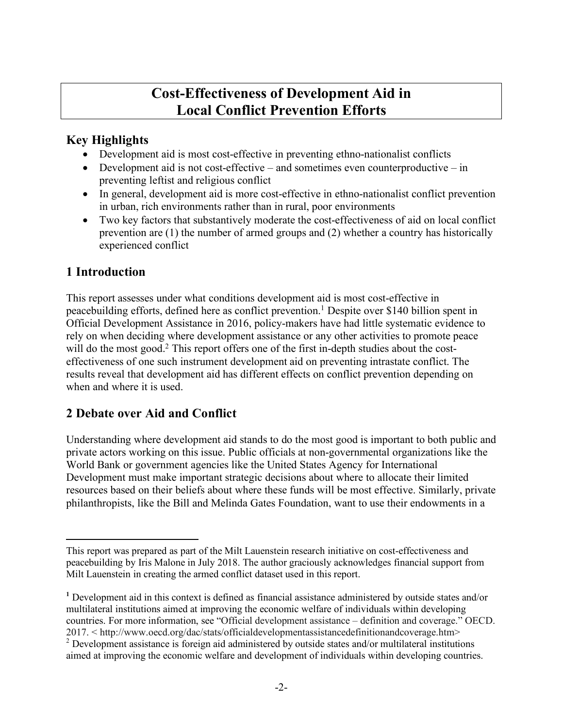# **Cost-Effectiveness of Development Aid in Local Conflict Prevention Efforts**

#### **Key Highlights**

- Development aid is most cost-effective in preventing ethno-nationalist conflicts
- Development aid is not cost-effective and sometimes even counterproductive in preventing leftist and religious conflict
- In general, development aid is more cost-effective in ethno-nationalist conflict prevention in urban, rich environments rather than in rural, poor environments
- Two key factors that substantively moderate the cost-effectiveness of aid on local conflict prevention are (1) the number of armed groups and (2) whether a country has historically experienced conflict

## **1 Introduction**

 $\overline{a}$ 

This report assesses under what conditions development aid is most cost-effective in peacebuilding efforts, defined here as conflict prevention.1 Despite over \$140 billion spent in Official Development Assistance in 2016, policy-makers have had little systematic evidence to rely on when deciding where development assistance or any other activities to promote peace will do the most good.<sup>2</sup> This report offers one of the first in-depth studies about the costeffectiveness of one such instrument development aid on preventing intrastate conflict. The results reveal that development aid has different effects on conflict prevention depending on when and where it is used.

## **2 Debate over Aid and Conflict**

Understanding where development aid stands to do the most good is important to both public and private actors working on this issue. Public officials at non-governmental organizations like the World Bank or government agencies like the United States Agency for International Development must make important strategic decisions about where to allocate their limited resources based on their beliefs about where these funds will be most effective. Similarly, private philanthropists, like the Bill and Melinda Gates Foundation, want to use their endowments in a

This report was prepared as part of the Milt Lauenstein research initiative on cost-effectiveness and peacebuilding by Iris Malone in July 2018. The author graciously acknowledges financial support from Milt Lauenstein in creating the armed conflict dataset used in this report.

**<sup>1</sup>** Development aid in this context is defined as financial assistance administered by outside states and/or multilateral institutions aimed at improving the economic welfare of individuals within developing countries. For more information, see "Official development assistance – definition and coverage." OECD. 2017. < http://www.oecd.org/dac/stats/officialdevelopmentassistancedefinitionandcoverage.htm>

<sup>&</sup>lt;sup>2</sup> Development assistance is foreign aid administered by outside states and/or multilateral institutions aimed at improving the economic welfare and development of individuals within developing countries.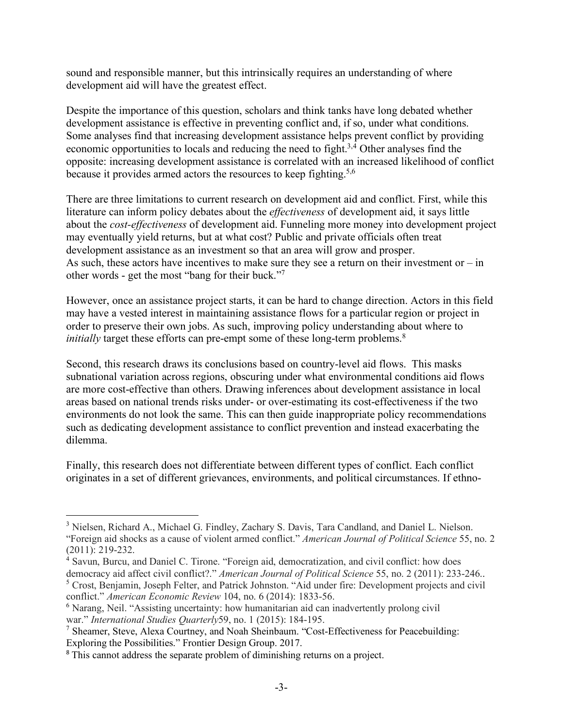sound and responsible manner, but this intrinsically requires an understanding of where development aid will have the greatest effect.

Despite the importance of this question, scholars and think tanks have long debated whether development assistance is effective in preventing conflict and, if so, under what conditions. Some analyses find that increasing development assistance helps prevent conflict by providing economic opportunities to locals and reducing the need to fight.<sup>3,4</sup> Other analyses find the opposite: increasing development assistance is correlated with an increased likelihood of conflict because it provides armed actors the resources to keep fighting.<sup>5,6</sup>

There are three limitations to current research on development aid and conflict. First, while this literature can inform policy debates about the *effectiveness* of development aid, it says little about the *cost-effectiveness* of development aid. Funneling more money into development project may eventually yield returns, but at what cost? Public and private officials often treat development assistance as an investment so that an area will grow and prosper. As such, these actors have incentives to make sure they see a return on their investment or  $-\text{in}$ other words - get the most "bang for their buck."7

However, once an assistance project starts, it can be hard to change direction. Actors in this field may have a vested interest in maintaining assistance flows for a particular region or project in order to preserve their own jobs. As such, improving policy understanding about where to *initially* target these efforts can pre-empt some of these long-term problems.<sup>8</sup>

Second, this research draws its conclusions based on country-level aid flows. This masks subnational variation across regions, obscuring under what environmental conditions aid flows are more cost-effective than others. Drawing inferences about development assistance in local areas based on national trends risks under- or over-estimating its cost-effectiveness if the two environments do not look the same. This can then guide inappropriate policy recommendations such as dedicating development assistance to conflict prevention and instead exacerbating the dilemma.

Finally, this research does not differentiate between different types of conflict. Each conflict originates in a set of different grievances, environments, and political circumstances. If ethno-

 $\overline{a}$ 

<sup>&</sup>lt;sup>3</sup> Nielsen, Richard A., Michael G. Findley, Zachary S. Davis, Tara Candland, and Daniel L. Nielson. "Foreign aid shocks as a cause of violent armed conflict." *American Journal of Political Science* 55, no. 2 (2011): 219-232.

<sup>4</sup> Savun, Burcu, and Daniel C. Tirone. "Foreign aid, democratization, and civil conflict: how does democracy aid affect civil conflict?." *American Journal of Political Science* 55, no. 2 (2011): 233-246.. <sup>5</sup> Crost, Benjamin, Joseph Felter, and Patrick Johnston. "Aid under fire: Development projects and civil conflict." *American Economic Review* 104, no. 6 (2014): 1833-56.

<sup>6</sup> Narang, Neil. "Assisting uncertainty: how humanitarian aid can inadvertently prolong civil war." *International Studies Quarterly*59, no. 1 (2015): 184-195.

<sup>7</sup> Sheamer, Steve, Alexa Courtney, and Noah Sheinbaum. "Cost-Effectiveness for Peacebuilding: Exploring the Possibilities." Frontier Design Group. 2017.

<sup>&</sup>lt;sup>8</sup> This cannot address the separate problem of diminishing returns on a project.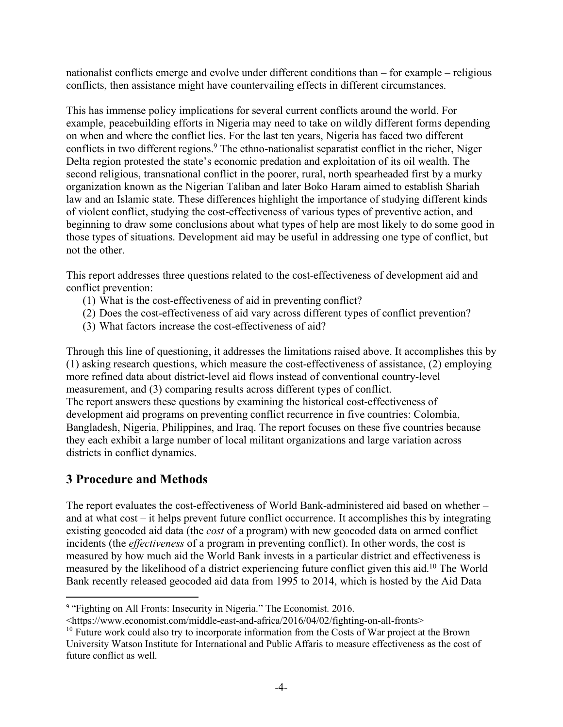nationalist conflicts emerge and evolve under different conditions than – for example – religious conflicts, then assistance might have countervailing effects in different circumstances.

This has immense policy implications for several current conflicts around the world. For example, peacebuilding efforts in Nigeria may need to take on wildly different forms depending on when and where the conflict lies. For the last ten years, Nigeria has faced two different conflicts in two different regions.<sup>9</sup> The ethno-nationalist separatist conflict in the richer, Niger Delta region protested the state's economic predation and exploitation of its oil wealth. The second religious, transnational conflict in the poorer, rural, north spearheaded first by a murky organization known as the Nigerian Taliban and later Boko Haram aimed to establish Shariah law and an Islamic state. These differences highlight the importance of studying different kinds of violent conflict, studying the cost-effectiveness of various types of preventive action, and beginning to draw some conclusions about what types of help are most likely to do some good in those types of situations. Development aid may be useful in addressing one type of conflict, but not the other.

This report addresses three questions related to the cost-effectiveness of development aid and conflict prevention:

- (1) What is the cost-effectiveness of aid in preventing conflict?
- (2) Does the cost-effectiveness of aid vary across different types of conflict prevention?
- (3) What factors increase the cost-effectiveness of aid?

Through this line of questioning, it addresses the limitations raised above. It accomplishes this by (1) asking research questions, which measure the cost-effectiveness of assistance, (2) employing more refined data about district-level aid flows instead of conventional country-level measurement, and (3) comparing results across different types of conflict. The report answers these questions by examining the historical cost-effectiveness of development aid programs on preventing conflict recurrence in five countries: Colombia, Bangladesh, Nigeria, Philippines, and Iraq. The report focuses on these five countries because they each exhibit a large number of local militant organizations and large variation across districts in conflict dynamics.

#### **3 Procedure and Methods**

The report evaluates the cost-effectiveness of World Bank-administered aid based on whether – and at what cost – it helps prevent future conflict occurrence. It accomplishes this by integrating existing geocoded aid data (the *cost* of a program) with new geocoded data on armed conflict incidents (the *effectiveness* of a program in preventing conflict). In other words, the cost is measured by how much aid the World Bank invests in a particular district and effectiveness is measured by the likelihood of a district experiencing future conflict given this aid. <sup>10</sup> The World Bank recently released geocoded aid data from 1995 to 2014, which is hosted by the Aid Data

<sup>&</sup>lt;sup>9</sup> "Fighting on All Fronts: Insecurity in Nigeria." The Economist. 2016.

<sup>&</sup>lt;https://www.economist.com/middle-east-and-africa/2016/04/02/fighting-on-all-fronts>

<sup>&</sup>lt;sup>10</sup> Future work could also try to incorporate information from the Costs of War project at the Brown University Watson Institute for International and Public Affaris to measure effectiveness as the cost of future conflict as well.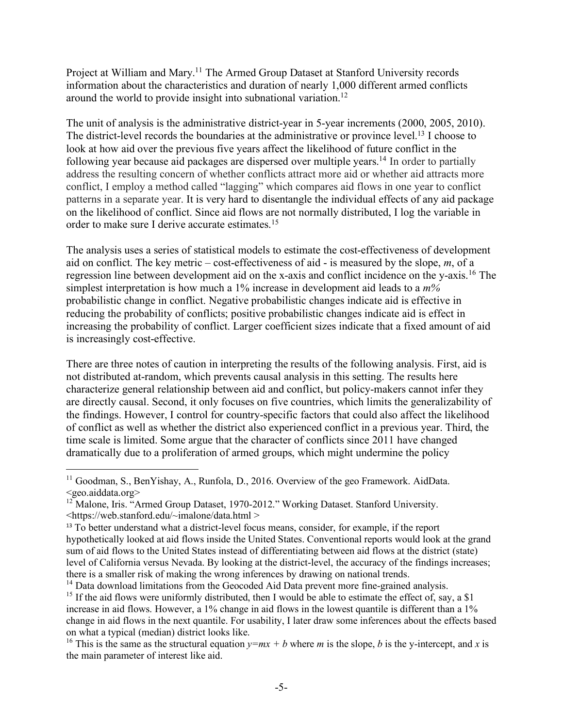Project at William and Mary.<sup>11</sup> The Armed Group Dataset at Stanford University records information about the characteristics and duration of nearly 1,000 different armed conflicts around the world to provide insight into subnational variation.<sup>12</sup>

The unit of analysis is the administrative district-year in 5-year increments (2000, 2005, 2010). The district-level records the boundaries at the administrative or province level.<sup>13</sup> I choose to look at how aid over the previous five years affect the likelihood of future conflict in the following year because aid packages are dispersed over multiple years.<sup>14</sup> In order to partially address the resulting concern of whether conflicts attract more aid or whether aid attracts more conflict, I employ a method called "lagging" which compares aid flows in one year to conflict patterns in a separate year. It is very hard to disentangle the individual effects of any aid package on the likelihood of conflict. Since aid flows are not normally distributed, I log the variable in order to make sure I derive accurate estimates.15

The analysis uses a series of statistical models to estimate the cost-effectiveness of development aid on conflict. The key metric – cost-effectiveness of aid - is measured by the slope, *m*, of a regression line between development aid on the x-axis and conflict incidence on the y-axis.16 The simplest interpretation is how much a 1% increase in development aid leads to a *m%* probabilistic change in conflict. Negative probabilistic changes indicate aid is effective in reducing the probability of conflicts; positive probabilistic changes indicate aid is effect in increasing the probability of conflict. Larger coefficient sizes indicate that a fixed amount of aid is increasingly cost-effective.

There are three notes of caution in interpreting the results of the following analysis. First, aid is not distributed at-random, which prevents causal analysis in this setting. The results here characterize general relationship between aid and conflict, but policy-makers cannot infer they are directly causal. Second, it only focuses on five countries, which limits the generalizability of the findings. However, I control for country-specific factors that could also affect the likelihood of conflict as well as whether the district also experienced conflict in a previous year. Third, the time scale is limited. Some argue that the character of conflicts since 2011 have changed dramatically due to a proliferation of armed groups, which might undermine the policy

 $\overline{a}$ <sup>11</sup> Goodman, S., BenYishay, A., Runfola, D., 2016. Overview of the geo Framework. AidData. <geo.aiddata.org>

<sup>&</sup>lt;sup>12</sup> Malone, Iris. "Armed Group Dataset, 1970-2012." Working Dataset. Stanford University. <https://web.stanford.edu/~imalone/data.html >

<sup>&</sup>lt;sup>13</sup> To better understand what a district-level focus means, consider, for example, if the report hypothetically looked at aid flows inside the United States. Conventional reports would look at the grand sum of aid flows to the United States instead of differentiating between aid flows at the district (state) level of California versus Nevada. By looking at the district-level, the accuracy of the findings increases; there is a smaller risk of making the wrong inferences by drawing on national trends.

<sup>&</sup>lt;sup>14</sup> Data download limitations from the Geocoded Aid Data prevent more fine-grained analysis. <sup>15</sup> If the aid flows were uniformly distributed, then I would be able to estimate the effect of, say, a \$1 increase in aid flows. However, a 1% change in aid flows in the lowest quantile is different than a 1% change in aid flows in the next quantile. For usability, I later draw some inferences about the effects based on what a typical (median) district looks like.

<sup>&</sup>lt;sup>16</sup> This is the same as the structural equation  $y=mx + b$  where *m* is the slope, *b* is the y-intercept, and *x* is the main parameter of interest like aid.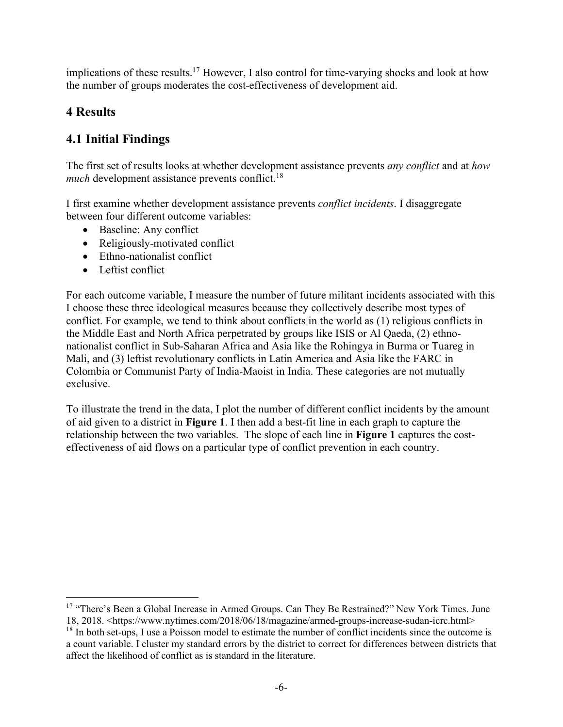implications of these results. <sup>17</sup> However, I also control for time-varying shocks and look at how the number of groups moderates the cost-effectiveness of development aid.

#### **4 Results**

 $\overline{a}$ 

#### **4.1 Initial Findings**

The first set of results looks at whether development assistance prevents *any conflict* and at *how much* development assistance prevents conflict.<sup>18</sup>

I first examine whether development assistance prevents *conflict incidents*. I disaggregate between four different outcome variables:

- Baseline: Any conflict
- Religiously-motivated conflict
- Ethno-nationalist conflict
- Leftist conflict

For each outcome variable, I measure the number of future militant incidents associated with this I choose these three ideological measures because they collectively describe most types of conflict. For example, we tend to think about conflicts in the world as (1) religious conflicts in the Middle East and North Africa perpetrated by groups like ISIS or Al Qaeda, (2) ethnonationalist conflict in Sub-Saharan Africa and Asia like the Rohingya in Burma or Tuareg in Mali, and (3) leftist revolutionary conflicts in Latin America and Asia like the FARC in Colombia or Communist Party of India-Maoist in India. These categories are not mutually exclusive.

To illustrate the trend in the data, I plot the number of different conflict incidents by the amount of aid given to a district in **Figure 1**. I then add a best-fit line in each graph to capture the relationship between the two variables. The slope of each line in **Figure 1** captures the costeffectiveness of aid flows on a particular type of conflict prevention in each country.

<sup>&</sup>lt;sup>17</sup> "There's Been a Global Increase in Armed Groups. Can They Be Restrained?" New York Times. June 18, 2018. <https://www.nytimes.com/2018/06/18/magazine/armed-groups-increase-sudan-icrc.html> <sup>18</sup> In both set-ups, I use a Poisson model to estimate the number of conflict incidents since the outcome is a count variable. I cluster my standard errors by the district to correct for differences between districts that affect the likelihood of conflict as is standard in the literature.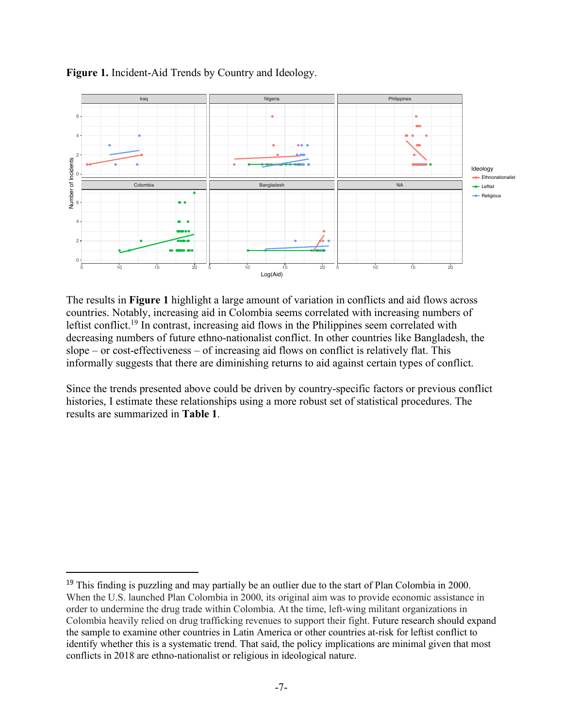

**Figure 1.** Incident-Aid Trends by Country and Ideology.

The results in **Figure 1** highlight a large amount of variation in conflicts and aid flows across countries. Notably, increasing aid in Colombia seems correlated with increasing numbers of leftist conflict.19 In contrast, increasing aid flows in the Philippines seem correlated with decreasing numbers of future ethno-nationalist conflict. In other countries like Bangladesh, the slope – or cost-effectiveness – of increasing aid flows on conflict is relatively flat. This informally suggests that there are diminishing returns to aid against certain types of conflict.

Since the trends presented above could be driven by country-specific factors or previous conflict histories, I estimate these relationships using a more robust set of statistical procedures. The results are summarized in **Table 1**.

<sup>&</sup>lt;sup>19</sup> This finding is puzzling and may partially be an outlier due to the start of Plan Colombia in 2000. When the U.S. launched Plan Colombia in 2000, its original aim was to provide economic assistance in order to undermine the drug trade within Colombia. At the time, left-wing militant organizations in Colombia heavily relied on drug trafficking revenues to support their fight. Future research should expand the sample to examine other countries in Latin America or other countries at-risk for leftist conflict to identify whether this is a systematic trend. That said, the policy implications are minimal given that most conflicts in 2018 are ethno-nationalist or religious in ideological nature.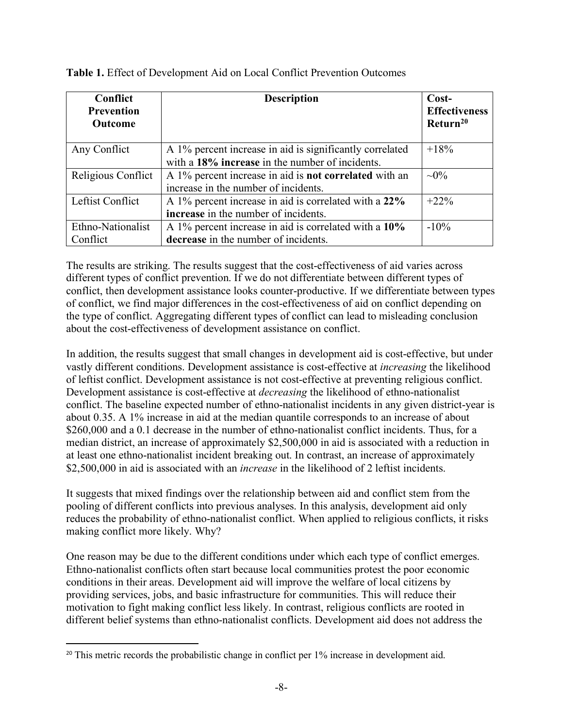| <b>Conflict</b><br><b>Prevention</b><br><b>Outcome</b> | <b>Description</b>                                                                                          | Cost-<br><b>Effectiveness</b><br>Return <sup>20</sup> |
|--------------------------------------------------------|-------------------------------------------------------------------------------------------------------------|-------------------------------------------------------|
| Any Conflict                                           | A 1% percent increase in aid is significantly correlated<br>with a 18% increase in the number of incidents. | $+18%$                                                |
| Religious Conflict                                     | A 1% percent increase in aid is <b>not correlated</b> with an<br>increase in the number of incidents.       | $\sim 0\%$                                            |
| Leftist Conflict                                       | A 1% percent increase in aid is correlated with a 22%<br>increase in the number of incidents.               | $+22\%$                                               |
| Ethno-Nationalist<br>Conflict                          | A 1% percent increase in aid is correlated with a 10%<br>decrease in the number of incidents.               | $-10\%$                                               |

**Table 1.** Effect of Development Aid on Local Conflict Prevention Outcomes

The results are striking. The results suggest that the cost-effectiveness of aid varies across different types of conflict prevention. If we do not differentiate between different types of conflict, then development assistance looks counter-productive. If we differentiate between types of conflict, we find major differences in the cost-effectiveness of aid on conflict depending on the type of conflict. Aggregating different types of conflict can lead to misleading conclusion about the cost-effectiveness of development assistance on conflict.

In addition, the results suggest that small changes in development aid is cost-effective, but under vastly different conditions. Development assistance is cost-effective at *increasing* the likelihood of leftist conflict. Development assistance is not cost-effective at preventing religious conflict. Development assistance is cost-effective at *decreasing* the likelihood of ethno-nationalist conflict. The baseline expected number of ethno-nationalist incidents in any given district-year is about 0.35. A 1% increase in aid at the median quantile corresponds to an increase of about \$260,000 and a 0.1 decrease in the number of ethno-nationalist conflict incidents. Thus, for a median district, an increase of approximately \$2,500,000 in aid is associated with a reduction in at least one ethno-nationalist incident breaking out. In contrast, an increase of approximately \$2,500,000 in aid is associated with an *increase* in the likelihood of 2 leftist incidents.

It suggests that mixed findings over the relationship between aid and conflict stem from the pooling of different conflicts into previous analyses. In this analysis, development aid only reduces the probability of ethno-nationalist conflict. When applied to religious conflicts, it risks making conflict more likely. Why?

One reason may be due to the different conditions under which each type of conflict emerges. Ethno-nationalist conflicts often start because local communities protest the poor economic conditions in their areas. Development aid will improve the welfare of local citizens by providing services, jobs, and basic infrastructure for communities. This will reduce their motivation to fight making conflict less likely. In contrast, religious conflicts are rooted in different belief systems than ethno-nationalist conflicts. Development aid does not address the

<sup>&</sup>lt;sup>20</sup> This metric records the probabilistic change in conflict per 1% increase in development aid.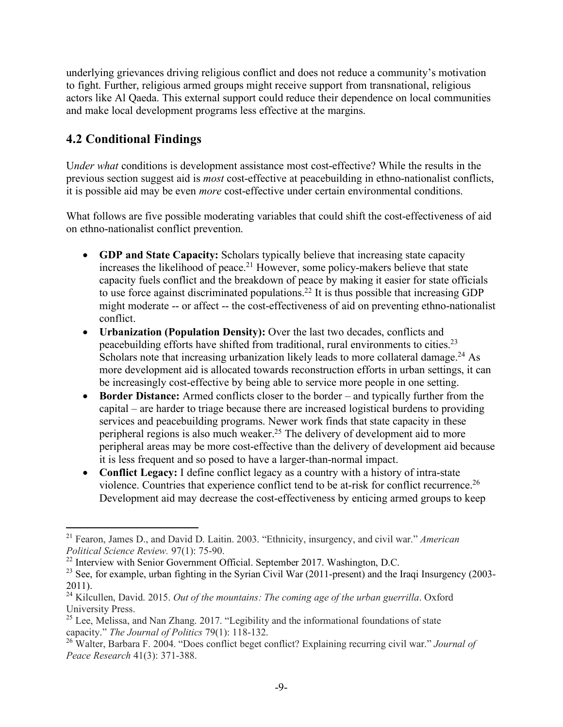underlying grievances driving religious conflict and does not reduce a community's motivation to fight. Further, religious armed groups might receive support from transnational, religious actors like Al Qaeda. This external support could reduce their dependence on local communities and make local development programs less effective at the margins.

#### **4.2 Conditional Findings**

 $\overline{a}$ 

U*nder what* conditions is development assistance most cost-effective? While the results in the previous section suggest aid is *most* cost-effective at peacebuilding in ethno-nationalist conflicts, it is possible aid may be even *more* cost-effective under certain environmental conditions.

What follows are five possible moderating variables that could shift the cost-effectiveness of aid on ethno-nationalist conflict prevention.

- **GDP and State Capacity:** Scholars typically believe that increasing state capacity increases the likelihood of peace. <sup>21</sup> However, some policy-makers believe that state capacity fuels conflict and the breakdown of peace by making it easier for state officials to use force against discriminated populations.22 It is thus possible that increasing GDP might moderate -- or affect -- the cost-effectiveness of aid on preventing ethno-nationalist conflict.
- **Urbanization (Population Density):** Over the last two decades, conflicts and peacebuilding efforts have shifted from traditional, rural environments to cities.23 Scholars note that increasing urbanization likely leads to more collateral damage.<sup>24</sup> As more development aid is allocated towards reconstruction efforts in urban settings, it can be increasingly cost-effective by being able to service more people in one setting.
- **Border Distance:** Armed conflicts closer to the border and typically further from the capital – are harder to triage because there are increased logistical burdens to providing services and peacebuilding programs. Newer work finds that state capacity in these peripheral regions is also much weaker.25 The delivery of development aid to more peripheral areas may be more cost-effective than the delivery of development aid because it is less frequent and so posed to have a larger-than-normal impact.
- **Conflict Legacy:** I define conflict legacy as a country with a history of intra-state violence. Countries that experience conflict tend to be at-risk for conflict recurrence. 26 Development aid may decrease the cost-effectiveness by enticing armed groups to keep

<sup>21</sup> Fearon, James D., and David D. Laitin. 2003. "Ethnicity, insurgency, and civil war." *American Political Science Review.* 97(1): 75-90.

<sup>&</sup>lt;sup>22</sup> Interview with Senior Government Official. September 2017. Washington, D.C.

<sup>&</sup>lt;sup>23</sup> See, for example, urban fighting in the Syrian Civil War (2011-present) and the Iraqi Insurgency (2003-2011).

<sup>24</sup> Kilcullen, David. 2015. *Out of the mountains: The coming age of the urban guerrilla*. Oxford University Press.

 $25$  Lee, Melissa, and Nan Zhang. 2017. "Legibility and the informational foundations of state capacity." *The Journal of Politics* 79(1): 118-132.

<sup>26</sup> Walter, Barbara F. 2004. "Does conflict beget conflict? Explaining recurring civil war." *Journal of Peace Research* 41(3): 371-388.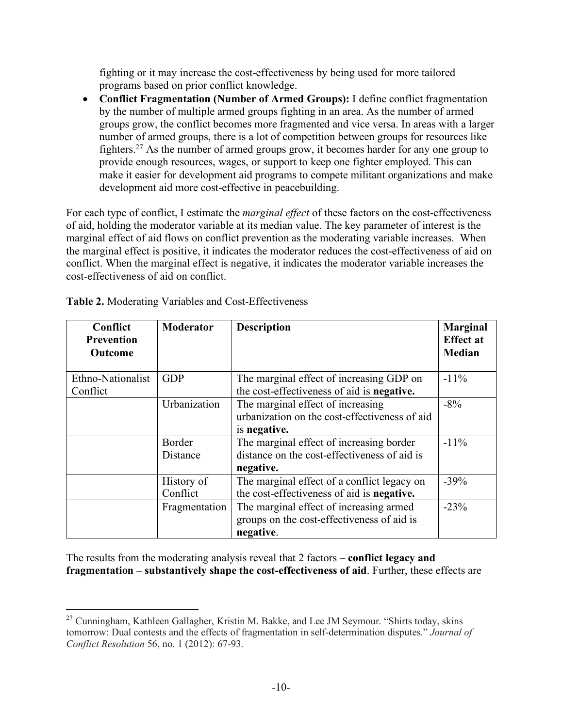fighting or it may increase the cost-effectiveness by being used for more tailored programs based on prior conflict knowledge.

• **Conflict Fragmentation (Number of Armed Groups):** I define conflict fragmentation by the number of multiple armed groups fighting in an area. As the number of armed groups grow, the conflict becomes more fragmented and vice versa. In areas with a larger number of armed groups, there is a lot of competition between groups for resources like fighters.27 As the number of armed groups grow, it becomes harder for any one group to provide enough resources, wages, or support to keep one fighter employed. This can make it easier for development aid programs to compete militant organizations and make development aid more cost-effective in peacebuilding.

For each type of conflict, I estimate the *marginal effect* of these factors on the cost-effectiveness of aid, holding the moderator variable at its median value. The key parameter of interest is the marginal effect of aid flows on conflict prevention as the moderating variable increases. When the marginal effect is positive, it indicates the moderator reduces the cost-effectiveness of aid on conflict. When the marginal effect is negative, it indicates the moderator variable increases the cost-effectiveness of aid on conflict.

| Conflict<br><b>Prevention</b><br>Outcome | <b>Moderator</b>       | <b>Description</b>                                                                                    | <b>Marginal</b><br><b>Effect at</b><br><b>Median</b> |
|------------------------------------------|------------------------|-------------------------------------------------------------------------------------------------------|------------------------------------------------------|
| Ethno-Nationalist<br>Conflict            | <b>GDP</b>             | The marginal effect of increasing GDP on<br>the cost-effectiveness of aid is negative.                | $-11\%$                                              |
|                                          | Urbanization           | The marginal effect of increasing<br>urbanization on the cost-effectiveness of aid<br>is negative.    | $-8%$                                                |
|                                          | Border<br>Distance     | The marginal effect of increasing border<br>distance on the cost-effectiveness of aid is<br>negative. | $-11\%$                                              |
|                                          | History of<br>Conflict | The marginal effect of a conflict legacy on<br>the cost-effectiveness of aid is negative.             | $-39%$                                               |
|                                          | Fragmentation          | The marginal effect of increasing armed<br>groups on the cost-effectiveness of aid is<br>negative.    | $-23%$                                               |

**Table 2.** Moderating Variables and Cost-Effectiveness

 $\overline{a}$ 

The results from the moderating analysis reveal that 2 factors – **conflict legacy and fragmentation – substantively shape the cost-effectiveness of aid**. Further, these effects are

<sup>&</sup>lt;sup>27</sup> Cunningham, Kathleen Gallagher, Kristin M. Bakke, and Lee JM Seymour. "Shirts today, skins tomorrow: Dual contests and the effects of fragmentation in self-determination disputes." *Journal of Conflict Resolution* 56, no. 1 (2012): 67-93.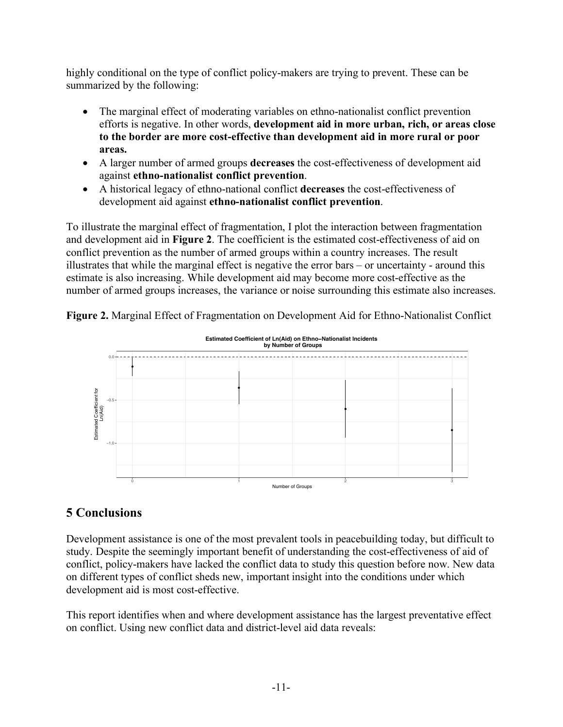highly conditional on the type of conflict policy-makers are trying to prevent. These can be summarized by the following:

- The marginal effect of moderating variables on ethno-nationalist conflict prevention efforts is negative. In other words, **development aid in more urban, rich, or areas close to the border are more cost-effective than development aid in more rural or poor areas.**
- A larger number of armed groups **decreases** the cost-effectiveness of development aid against **ethno-nationalist conflict prevention**.
- A historical legacy of ethno-national conflict **decreases** the cost-effectiveness of development aid against **ethno-nationalist conflict prevention**.

To illustrate the marginal effect of fragmentation, I plot the interaction between fragmentation and development aid in **Figure 2**. The coefficient is the estimated cost-effectiveness of aid on conflict prevention as the number of armed groups within a country increases. The result illustrates that while the marginal effect is negative the error bars – or uncertainty - around this estimate is also increasing. While development aid may become more cost-effective as the number of armed groups increases, the variance or noise surrounding this estimate also increases.



**Figure 2.** Marginal Effect of Fragmentation on Development Aid for Ethno-Nationalist Conflict

#### **5 Conclusions**

Development assistance is one of the most prevalent tools in peacebuilding today, but difficult to study. Despite the seemingly important benefit of understanding the cost-effectiveness of aid of conflict, policy-makers have lacked the conflict data to study this question before now. New data on different types of conflict sheds new, important insight into the conditions under which development aid is most cost-effective.

This report identifies when and where development assistance has the largest preventative effect on conflict. Using new conflict data and district-level aid data reveals: